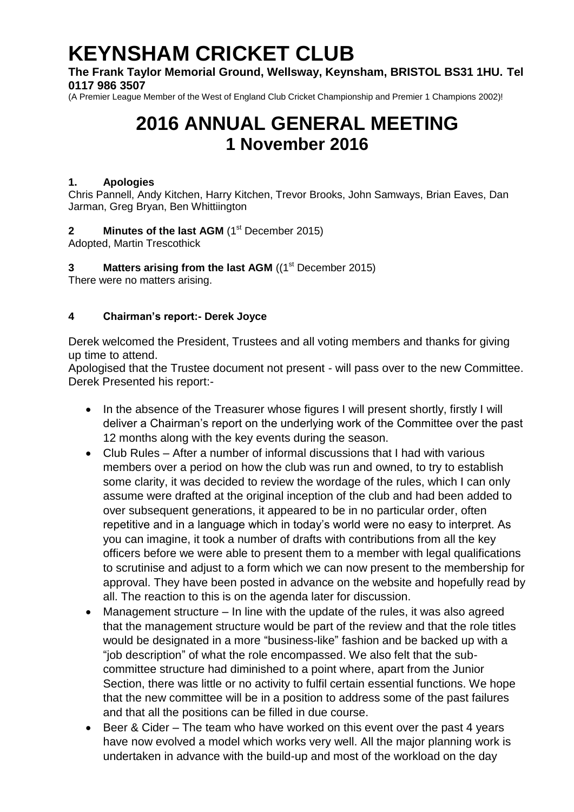# **KEYNSHAM CRICKET CLUB**

**The Frank Taylor Memorial Ground, Wellsway, Keynsham, BRISTOL BS31 1HU. Tel 0117 986 3507**

(A Premier League Member of the West of England Club Cricket Championship and Premier 1 Champions 2002)!

# **2016 ANNUAL GENERAL MEETING 1 November 2016**

#### **1. Apologies**

Chris Pannell, Andy Kitchen, Harry Kitchen, Trevor Brooks, John Samways, Brian Eaves, Dan Jarman, Greg Bryan, Ben Whittiington

**2 Minutes of the last AGM** (1<sup>st</sup> December 2015)

Adopted, Martin Trescothick

**3 Matters arising from the last AGM** ((1<sup>st</sup> December 2015) There were no matters arising.

#### **4 Chairman's report:- Derek Joyce**

Derek welcomed the President, Trustees and all voting members and thanks for giving up time to attend.

Apologised that the Trustee document not present - will pass over to the new Committee. Derek Presented his report:-

- In the absence of the Treasurer whose figures I will present shortly, firstly I will deliver a Chairman's report on the underlying work of the Committee over the past 12 months along with the key events during the season.
- Club Rules After a number of informal discussions that I had with various members over a period on how the club was run and owned, to try to establish some clarity, it was decided to review the wordage of the rules, which I can only assume were drafted at the original inception of the club and had been added to over subsequent generations, it appeared to be in no particular order, often repetitive and in a language which in today's world were no easy to interpret. As you can imagine, it took a number of drafts with contributions from all the key officers before we were able to present them to a member with legal qualifications to scrutinise and adjust to a form which we can now present to the membership for approval. They have been posted in advance on the website and hopefully read by all. The reaction to this is on the agenda later for discussion.
- Management structure In line with the update of the rules, it was also agreed that the management structure would be part of the review and that the role titles would be designated in a more "business-like" fashion and be backed up with a "job description" of what the role encompassed. We also felt that the subcommittee structure had diminished to a point where, apart from the Junior Section, there was little or no activity to fulfil certain essential functions. We hope that the new committee will be in a position to address some of the past failures and that all the positions can be filled in due course.
- Beer & Cider The team who have worked on this event over the past 4 years have now evolved a model which works very well. All the major planning work is undertaken in advance with the build-up and most of the workload on the day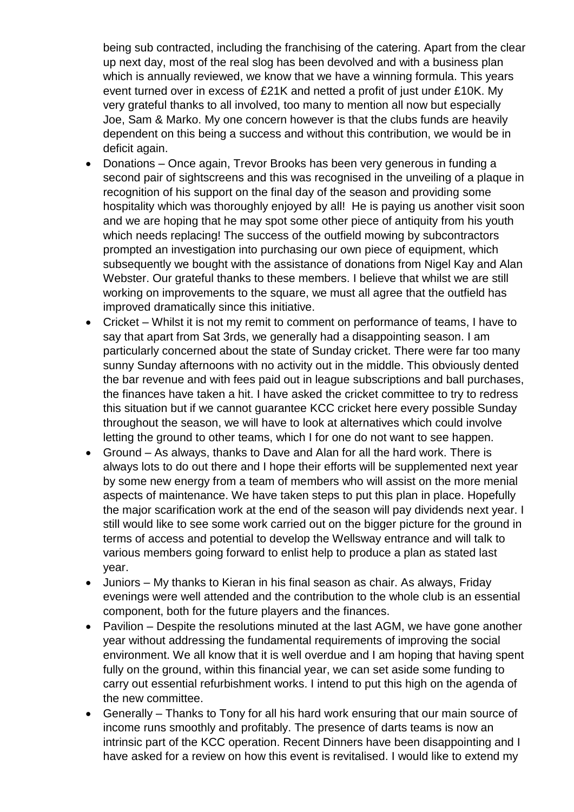being sub contracted, including the franchising of the catering. Apart from the clear up next day, most of the real slog has been devolved and with a business plan which is annually reviewed, we know that we have a winning formula. This years event turned over in excess of £21K and netted a profit of just under £10K. My very grateful thanks to all involved, too many to mention all now but especially Joe, Sam & Marko. My one concern however is that the clubs funds are heavily dependent on this being a success and without this contribution, we would be in deficit again.

- Donations Once again, Trevor Brooks has been very generous in funding a second pair of sightscreens and this was recognised in the unveiling of a plaque in recognition of his support on the final day of the season and providing some hospitality which was thoroughly enjoyed by all! He is paying us another visit soon and we are hoping that he may spot some other piece of antiquity from his youth which needs replacing! The success of the outfield mowing by subcontractors prompted an investigation into purchasing our own piece of equipment, which subsequently we bought with the assistance of donations from Nigel Kay and Alan Webster. Our grateful thanks to these members. I believe that whilst we are still working on improvements to the square, we must all agree that the outfield has improved dramatically since this initiative.
- Cricket Whilst it is not my remit to comment on performance of teams, I have to say that apart from Sat 3rds, we generally had a disappointing season. I am particularly concerned about the state of Sunday cricket. There were far too many sunny Sunday afternoons with no activity out in the middle. This obviously dented the bar revenue and with fees paid out in league subscriptions and ball purchases, the finances have taken a hit. I have asked the cricket committee to try to redress this situation but if we cannot guarantee KCC cricket here every possible Sunday throughout the season, we will have to look at alternatives which could involve letting the ground to other teams, which I for one do not want to see happen.
- Ground As always, thanks to Dave and Alan for all the hard work. There is always lots to do out there and I hope their efforts will be supplemented next year by some new energy from a team of members who will assist on the more menial aspects of maintenance. We have taken steps to put this plan in place. Hopefully the major scarification work at the end of the season will pay dividends next year. I still would like to see some work carried out on the bigger picture for the ground in terms of access and potential to develop the Wellsway entrance and will talk to various members going forward to enlist help to produce a plan as stated last year.
- Juniors My thanks to Kieran in his final season as chair. As always, Friday evenings were well attended and the contribution to the whole club is an essential component, both for the future players and the finances.
- Pavilion Despite the resolutions minuted at the last AGM, we have gone another year without addressing the fundamental requirements of improving the social environment. We all know that it is well overdue and I am hoping that having spent fully on the ground, within this financial year, we can set aside some funding to carry out essential refurbishment works. I intend to put this high on the agenda of the new committee.
- Generally Thanks to Tony for all his hard work ensuring that our main source of income runs smoothly and profitably. The presence of darts teams is now an intrinsic part of the KCC operation. Recent Dinners have been disappointing and I have asked for a review on how this event is revitalised. I would like to extend my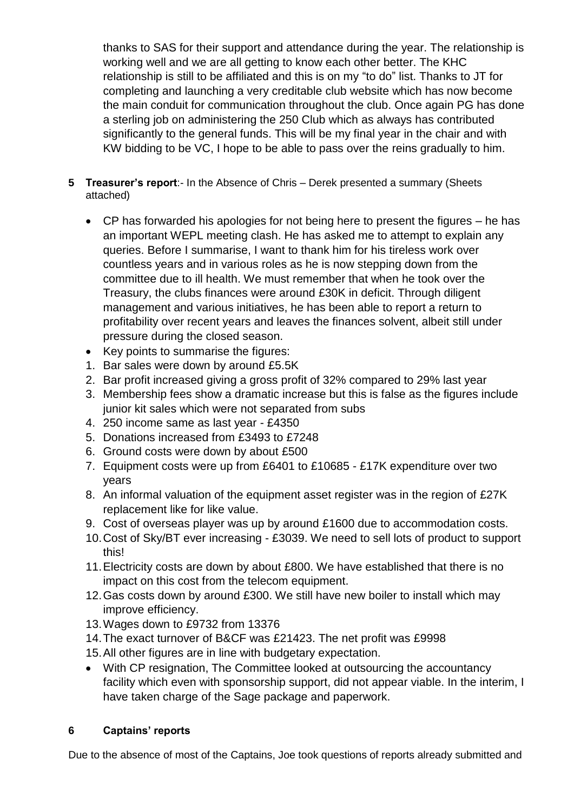thanks to SAS for their support and attendance during the year. The relationship is working well and we are all getting to know each other better. The KHC relationship is still to be affiliated and this is on my "to do" list. Thanks to JT for completing and launching a very creditable club website which has now become the main conduit for communication throughout the club. Once again PG has done a sterling job on administering the 250 Club which as always has contributed significantly to the general funds. This will be my final year in the chair and with KW bidding to be VC, I hope to be able to pass over the reins gradually to him.

- **5 Treasurer's report**:- In the Absence of Chris Derek presented a summary (Sheets attached)
	- CP has forwarded his apologies for not being here to present the figures he has an important WEPL meeting clash. He has asked me to attempt to explain any queries. Before I summarise, I want to thank him for his tireless work over countless years and in various roles as he is now stepping down from the committee due to ill health. We must remember that when he took over the Treasury, the clubs finances were around £30K in deficit. Through diligent management and various initiatives, he has been able to report a return to profitability over recent years and leaves the finances solvent, albeit still under pressure during the closed season.
	- Key points to summarise the figures:
	- 1. Bar sales were down by around £5.5K
	- 2. Bar profit increased giving a gross profit of 32% compared to 29% last year
	- 3. Membership fees show a dramatic increase but this is false as the figures include junior kit sales which were not separated from subs
	- 4. 250 income same as last year £4350
	- 5. Donations increased from £3493 to £7248
	- 6. Ground costs were down by about £500
	- 7. Equipment costs were up from £6401 to £10685 £17K expenditure over two years
	- 8. An informal valuation of the equipment asset register was in the region of £27K replacement like for like value.
	- 9. Cost of overseas player was up by around £1600 due to accommodation costs.
	- 10.Cost of Sky/BT ever increasing £3039. We need to sell lots of product to support this!
	- 11.Electricity costs are down by about £800. We have established that there is no impact on this cost from the telecom equipment.
	- 12.Gas costs down by around £300. We still have new boiler to install which may improve efficiency.
	- 13.Wages down to £9732 from 13376
	- 14.The exact turnover of B&CF was £21423. The net profit was £9998
	- 15.All other figures are in line with budgetary expectation.
	- With CP resignation, The Committee looked at outsourcing the accountancy facility which even with sponsorship support, did not appear viable. In the interim, I have taken charge of the Sage package and paperwork.

### **6 Captains' reports**

Due to the absence of most of the Captains, Joe took questions of reports already submitted and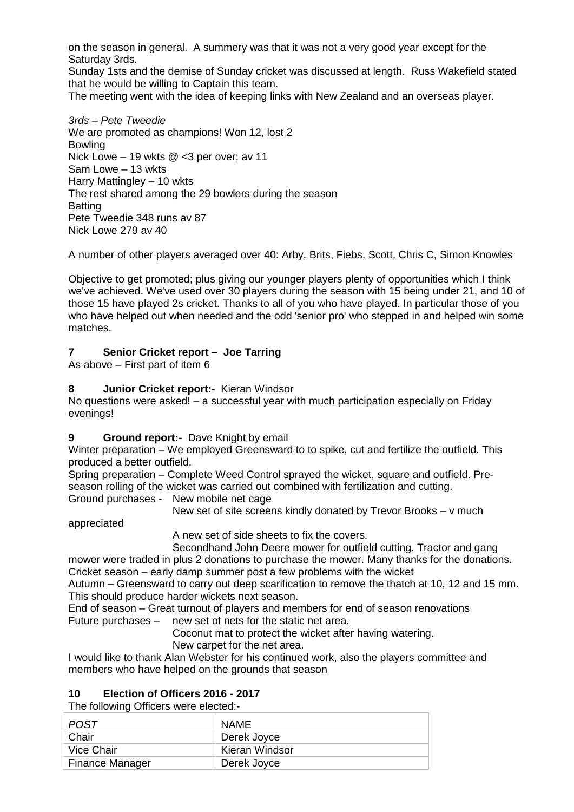on the season in general. A summery was that it was not a very good year except for the Saturday 3rds.

Sunday 1sts and the demise of Sunday cricket was discussed at length. Russ Wakefield stated that he would be willing to Captain this team.

The meeting went with the idea of keeping links with New Zealand and an overseas player.

*3rds – Pete Tweedie* We are promoted as champions! Won 12, lost 2 Bowling Nick Lowe – 19 wkts @ <3 per over; av 11 Sam Lowe – 13 wkts Harry Mattingley – 10 wkts The rest shared among the 29 bowlers during the season **Batting** Pete Tweedie 348 runs av 87 Nick Lowe 279 av 40

A number of other players averaged over 40: Arby, Brits, Fiebs, Scott, Chris C, Simon Knowles

Objective to get promoted; plus giving our younger players plenty of opportunities which I think we've achieved. We've used over 30 players during the season with 15 being under 21, and 10 of those 15 have played 2s cricket. Thanks to all of you who have played. In particular those of you who have helped out when needed and the odd 'senior pro' who stepped in and helped win some matches.

#### **7 Senior Cricket report – Joe Tarring**

As above – First part of item 6

#### **8 Junior Cricket report:-** Kieran Windsor

No questions were asked! – a successful year with much participation especially on Friday evenings!

#### **9 Ground report:-** Dave Knight by email

Winter preparation – We employed Greensward to to spike, cut and fertilize the outfield. This produced a better outfield.

Spring preparation – Complete Weed Control sprayed the wicket, square and outfield. Preseason rolling of the wicket was carried out combined with fertilization and cutting.

Ground purchases - New mobile net cage

New set of site screens kindly donated by Trevor Brooks – v much

appreciated

A new set of side sheets to fix the covers.

Secondhand John Deere mower for outfield cutting. Tractor and gang

mower were traded in plus 2 donations to purchase the mower. Many thanks for the donations. Cricket season – early damp summer post a few problems with the wicket

Autumn – Greensward to carry out deep scarification to remove the thatch at 10, 12 and 15 mm. This should produce harder wickets next season.

End of season – Great turnout of players and members for end of season renovations Future purchases – new set of nets for the static net area.

Coconut mat to protect the wicket after having watering.

New carpet for the net area.

I would like to thank Alan Webster for his continued work, also the players committee and members who have helped on the grounds that season

#### **10 Election of Officers 2016 - 2017**

The following Officers were elected:-

| POST.                  | <b>NAME</b>    |
|------------------------|----------------|
| Chair                  | Derek Joyce    |
| Vice Chair             | Kieran Windsor |
| <b>Finance Manager</b> | Derek Joyce    |